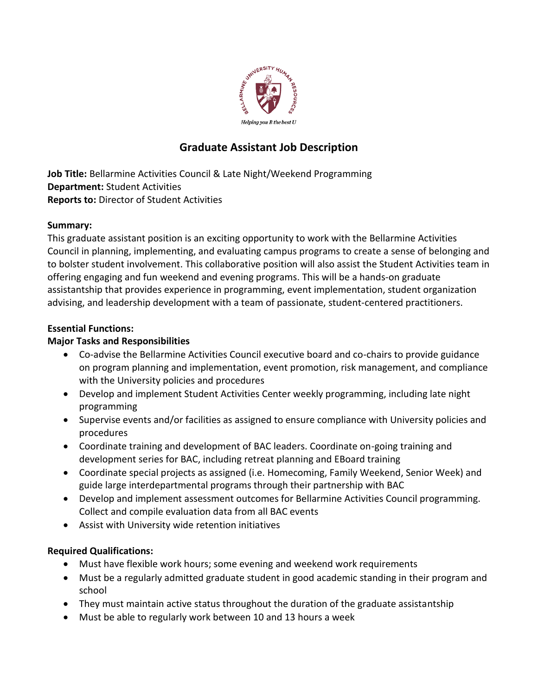

# **Graduate Assistant Job Description**

**Job Title:** Bellarmine Activities Council & Late Night/Weekend Programming **Department:** Student Activities **Reports to:** Director of Student Activities

## **Summary:**

This graduate assistant position is an exciting opportunity to work with the Bellarmine Activities Council in planning, implementing, and evaluating campus programs to create a sense of belonging and to bolster student involvement. This collaborative position will also assist the Student Activities team in offering engaging and fun weekend and evening programs. This will be a hands-on graduate assistantship that provides experience in programming, event implementation, student organization advising, and leadership development with a team of passionate, student-centered practitioners.

## **Essential Functions:**

## **Major Tasks and Responsibilities**

- Co-advise the Bellarmine Activities Council executive board and co-chairs to provide guidance on program planning and implementation, event promotion, risk management, and compliance with the University policies and procedures
- Develop and implement Student Activities Center weekly programming, including late night programming
- Supervise events and/or facilities as assigned to ensure compliance with University policies and procedures
- Coordinate training and development of BAC leaders. Coordinate on-going training and development series for BAC, including retreat planning and EBoard training
- Coordinate special projects as assigned (i.e. Homecoming, Family Weekend, Senior Week) and guide large interdepartmental programs through their partnership with BAC
- Develop and implement assessment outcomes for Bellarmine Activities Council programming. Collect and compile evaluation data from all BAC events
- Assist with University wide retention initiatives

## **Required Qualifications:**

- Must have flexible work hours; some evening and weekend work requirements
- Must be a regularly admitted graduate student in good academic standing in their program and school
- They must maintain active status throughout the duration of the graduate assistantship
- Must be able to regularly work between 10 and 13 hours a week